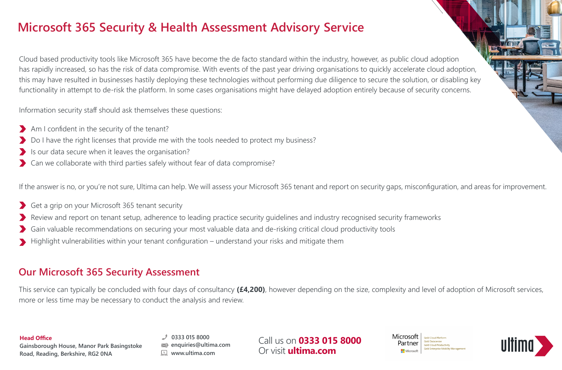# **Microsoft 365 Security & Health Assessment Advisory Service**

Cloud based productivity tools like Microsoft 365 have become the de facto standard within the industry, however, as public cloud adoption has rapidly increased, so has the risk of data compromise. With events of the past year driving organisations to quickly accelerate cloud adoption, this may have resulted in businesses hastily deploying these technologies without performing due diligence to secure the solution, or disabling key functionality in attempt to de-risk the platform. In some cases organisations might have delayed adoption entirely because of security concerns.

Information security staff should ask themselves these questions:

- Am I confident in the security of the tenant?
- Do I have the right licenses that provide me with the tools needed to protect my business?
- $\blacktriangleright$  Is our data secure when it leaves the organisation?
- Can we collaborate with third parties safely without fear of data compromise?

If the answer is no, or you're not sure, Ultima can help. We will assess your Microsoft 365 tenant and report on security gaps, misconfiguration, and areas for improvement.

- Get a grip on your Microsoft 365 tenant security
- Review and report on tenant setup, adherence to leading practice security guidelines and industry recognised security frameworks
- Gain valuable recommendations on securing your most valuable data and de-risking critical cloud productivity tools
- Highlight vulnerabilities within your tenant configuration understand your risks and mitigate them

## **Our Microsoft 365 Security Assessment**

This service can typically be concluded with four days of consultancy **(£4,200)**, however depending on the size, complexity and level of adoption of Microsoft services, more or less time may be necessary to conduct the analysis and review.

### **Head Office**

**Gainsborough House, Manor Park Basingstoke Road, Reading, Berkshire, RG2 0NA**

**0333 015 8000 enquiries@ultima.com www.ultima.com**

Call us on **0333 015 8000** Or visit **ultima.com**

Microsoft **Gold Cloud Platform** Gold Datacenter Partner **Gold Cloud Productivity** Gold Enterprise Mobility Managemen  $\blacksquare$  Microsof